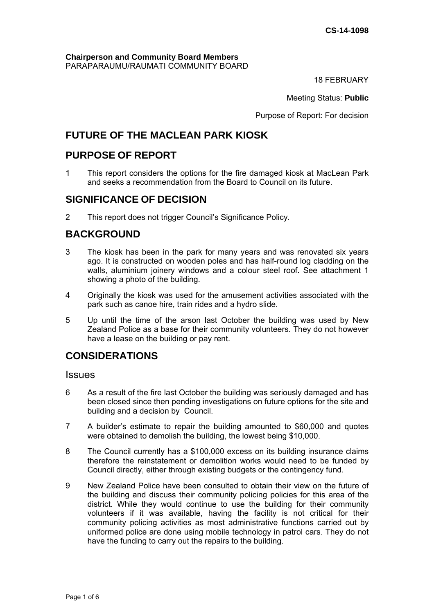#### **Chairperson and Community Board Members** PARAPARAUMU/RAUMATI COMMUNITY BOARD

18 FEBRUARY

Meeting Status: **Public**

Purpose of Report: For decision

# **FUTURE OF THE MACLEAN PARK KIOSK**

# **PURPOSE OF REPORT**

1 This report considers the options for the fire damaged kiosk at MacLean Park and seeks a recommendation from the Board to Council on its future.

### **SIGNIFICANCE OF DECISION**

2This report does not trigger Council's Significance Policy*.*

# **BACKGROUND**

- 3 The kiosk has been in the park for many years and was renovated six years ago. It is constructed on wooden poles and has half-round log cladding on the walls, aluminium joinery windows and a colour steel roof. See attachment 1 showing a photo of the building.
- 4 Originally the kiosk was used for the amusement activities associated with the park such as canoe hire, train rides and a hydro slide.
- 5 Up until the time of the arson last October the building was used by New Zealand Police as a base for their community volunteers. They do not however have a lease on the building or pay rent.

# **CONSIDERATIONS**

### **Issues**

- 6 As a result of the fire last October the building was seriously damaged and has been closed since then pending investigations on future options for the site and building and a decision by Council.
- 7 A builder's estimate to repair the building amounted to \$60,000 and quotes were obtained to demolish the building, the lowest being \$10,000.
- 8 The Council currently has a \$100,000 excess on its building insurance claims therefore the reinstatement or demolition works would need to be funded by Council directly, either through existing budgets or the contingency fund.
- 9 New Zealand Police have been consulted to obtain their view on the future of the building and discuss their community policing policies for this area of the district. While they would continue to use the building for their community volunteers if it was available, having the facility is not critical for their community policing activities as most administrative functions carried out by uniformed police are done using mobile technology in patrol cars. They do not have the funding to carry out the repairs to the building.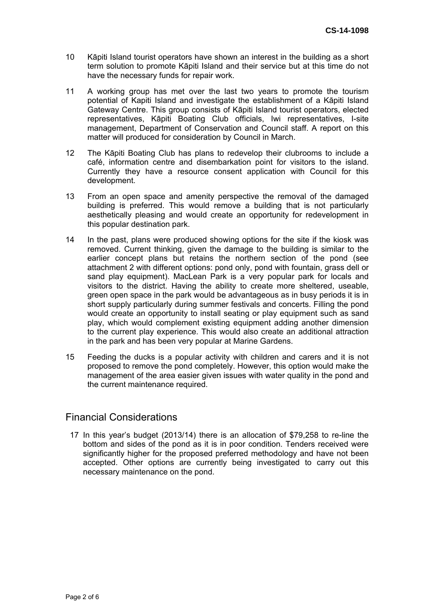- 10 Kāpiti Island tourist operators have shown an interest in the building as a short term solution to promote Kāpiti Island and their service but at this time do not have the necessary funds for repair work.
- 11 A working group has met over the last two years to promote the tourism potential of Kapiti Island and investigate the establishment of a Kāpiti Island Gateway Centre. This group consists of Kāpiti Island tourist operators, elected representatives, Kāpiti Boating Club officials, Iwi representatives, I-site management, Department of Conservation and Council staff. A report on this matter will produced for consideration by Council in March.
- 12 The Kāpiti Boating Club has plans to redevelop their clubrooms to include a café, information centre and disembarkation point for visitors to the island. Currently they have a resource consent application with Council for this development.
- 13 From an open space and amenity perspective the removal of the damaged building is preferred. This would remove a building that is not particularly aesthetically pleasing and would create an opportunity for redevelopment in this popular destination park.
- 14 In the past, plans were produced showing options for the site if the kiosk was removed. Current thinking, given the damage to the building is similar to the earlier concept plans but retains the northern section of the pond (see attachment 2 with different options: pond only, pond with fountain, grass dell or sand play equipment). MacLean Park is a very popular park for locals and visitors to the district. Having the ability to create more sheltered, useable, green open space in the park would be advantageous as in busy periods it is in short supply particularly during summer festivals and concerts. Filling the pond would create an opportunity to install seating or play equipment such as sand play, which would complement existing equipment adding another dimension to the current play experience. This would also create an additional attraction in the park and has been very popular at Marine Gardens.
- 15 Feeding the ducks is a popular activity with children and carers and it is not proposed to remove the pond completely. However, this option would make the management of the area easier given issues with water quality in the pond and the current maintenance required.

### Financial Considerations

17 In this year's budget (2013/14) there is an allocation of \$79,258 to re-line the bottom and sides of the pond as it is in poor condition. Tenders received were significantly higher for the proposed preferred methodology and have not been accepted. Other options are currently being investigated to carry out this necessary maintenance on the pond.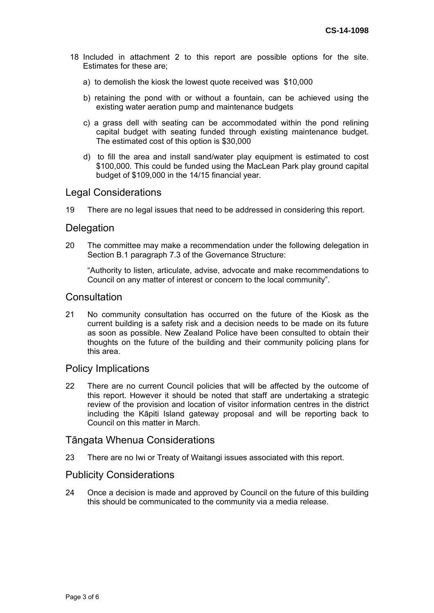- 18 Included in attachment 2 to this report are possible options for the site. Estimates for these are;
	- a) to demolish the kiosk the lowest quote received was \$10,000
	- b) retaining the pond with or without a fountain, can be achieved using the existing water aeration pump and maintenance budgets
	- c) a grass dell with seating can be accommodated within the pond relining capital budget with seating funded through existing maintenance budget. The estimated cost of this option is \$30,000
	- d) to fill the area and install sand/water play equipment is estimated to cost \$100,000. This could be funded using the MacLean Park play ground capital budget of \$109,000 in the 14/15 financial year.

#### Legal Considerations

19 There are no legal issues that need to be addressed in considering this report.

#### **Delegation**

20 The committee may make a recommendation under the following delegation in Section B.1 paragraph 7.3 of the Governance Structure:

"Authority to listen, articulate, advise, advocate and make recommendations to Council on any matter of interest or concern to the local community".

#### **Consultation**

21 No community consultation has occurred on the future of the Kiosk as the current building is a safety risk and a decision needs to be made on its future as soon as possible. New Zealand Police have been consulted to obtain their thoughts on the future of the building and their community policing plans for this area.

#### Policy Implications

22 There are no current Council policies that will be affected by the outcome of this report. However it should be noted that staff are undertaking a strategic review of the provision and location of visitor information centres in the district including the Kāpiti Island gateway proposal and will be reporting back to Council on this matter in March.

#### Tāngata Whenua Considerations

23 There are no Iwi or Treaty of Waitangi issues associated with this report.

### Publicity Considerations

24 Once a decision is made and approved by Council on the future of this building this should be communicated to the community via a media release.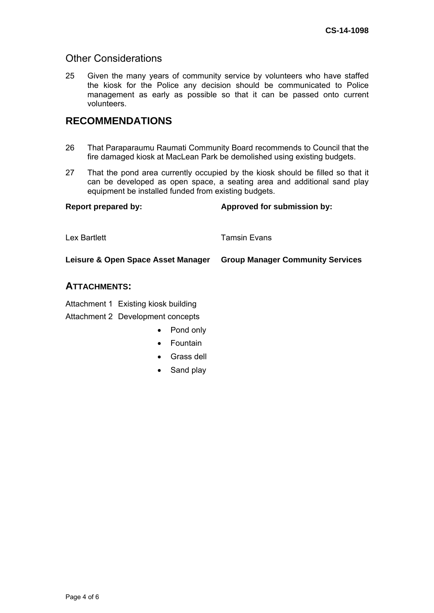### Other Considerations

25 Given the many years of community service by volunteers who have staffed the kiosk for the Police any decision should be communicated to Police management as early as possible so that it can be passed onto current volunteers.

# **RECOMMENDATIONS**

- 26 That Paraparaumu Raumati Community Board recommends to Council that the fire damaged kiosk at MacLean Park be demolished using existing budgets.
- 27 That the pond area currently occupied by the kiosk should be filled so that it can be developed as open space, a seating area and additional sand play equipment be installed funded from existing budgets.

| <b>Report prepared by:</b>         | Approved for submission by:             |
|------------------------------------|-----------------------------------------|
| Lex Bartlett                       | <b>Tamsin Evans</b>                     |
| Leisure & Open Space Asset Manager | <b>Group Manager Community Services</b> |
|                                    |                                         |

### **ATTACHMENTS:**

Attachment 1 Existing kiosk building Attachment 2 Development concepts

- Pond only
- Fountain
- Grass dell
- Sand play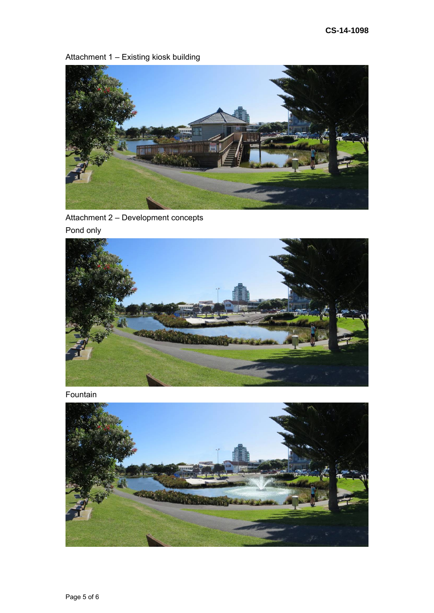# Attachment 1 – Existing kiosk building



Attachment 2 – Development concepts Pond only



Fountain